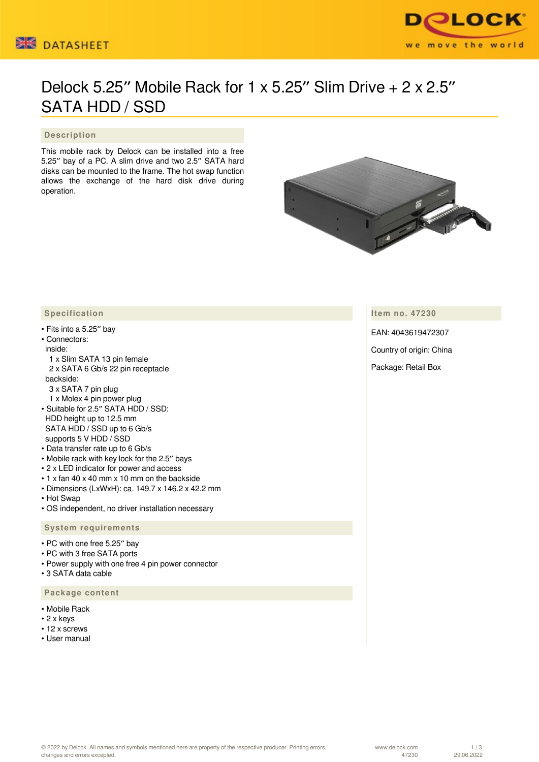



# Delock 5.25″ Mobile Rack for 1 x 5.25″ Slim Drive + 2 x 2.5″ SATA HDD / SSD

#### **Description**

This mobile rack by Delock can be installed into a free 5.25″ bay of a PC. A slim drive and two 2.5″ SATA hard disks can be mounted to the frame. The hot swap function allows the exchange of the hard disk drive during operation.



**Item no. 47230**

EAN: 4043619472307

Country of origin: China

Package: Retail Box

#### **Specification**

• Fits into a 5.25″ bay

### • Connectors:

- inside:
- 1 x Slim SATA 13 pin female 2 x SATA 6 Gb/s 22 pin receptacle backside:
- 3 x SATA 7 pin plug 1 x Molex 4 pin power plug
- Suitable for 2.5″ SATA HDD / SSD: HDD height up to 12.5 mm SATA HDD / SSD up to 6 Gb/s supports 5 V HDD / SSD
- Data transfer rate up to 6 Gb/s
- Mobile rack with key lock for the 2.5″ bays
- 2 x LED indicator for power and access
- 1 x fan 40 x 40 mm x 10 mm on the backside
- Dimensions (LxWxH): ca. 149.7 x 146.2 x 42.2 mm
- Hot Swap
- OS independent, no driver installation necessary

#### **System requirements**

- PC with one free 5.25″ bay
- PC with 3 free SATA ports
- Power supply with one free 4 pin power connector
- 3 SATA data cable

#### **Package content**

- Mobile Rack
- 2 x keys
- 12 x screws
- User manual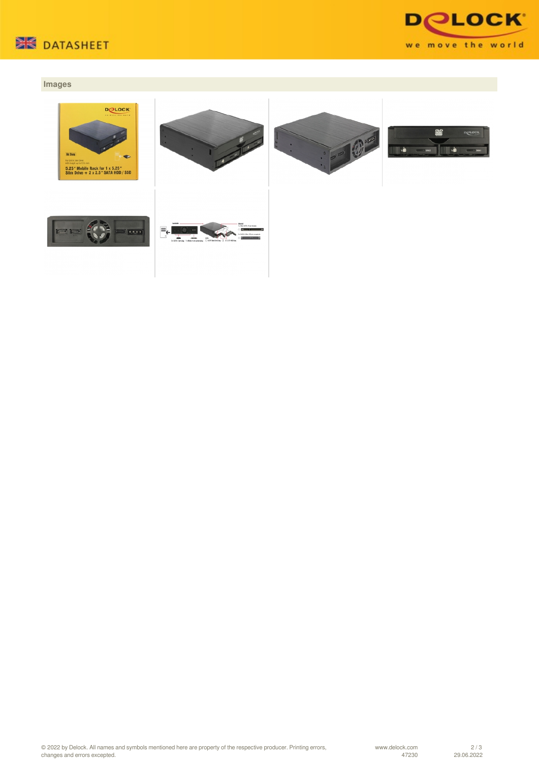



## **Images**